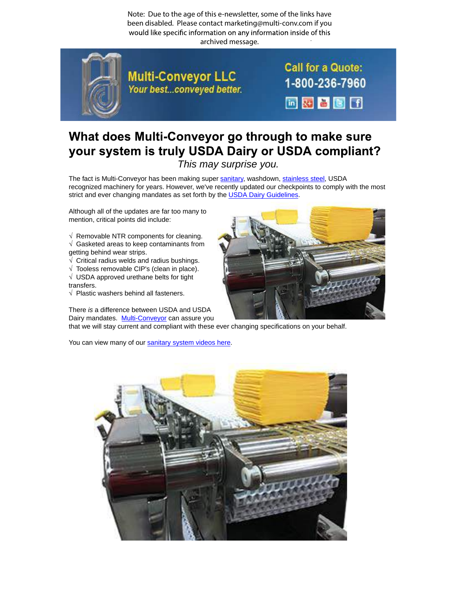Note: Due to the age of this e-newsletter, some of the links have been disabled. Please contact marketing@multi-conv.com if you would like specific information on any information inside of this . archived message.



**Multi-Conveyor LLC** Your best...conveyed better. **Call for a Quote:** 1-800-236-7960 同盟旨图团

## What does Multi-Conveyor go through to make sure your system is truly USDA Dairy or USDA compliant?

This may surprise you.

The fact is Multi-Conveyor has been making super sanitary, washdown, stainless steel, USDA recognized machinery for years. However, we've recently updated our checkpoints to comply with the most strict and ever changing mandates as set forth by the USDA Dairy Guidelines.

Although all of the updates are far too many to mention, critical points did include:

- $\sqrt{ }$  Removable NTR components for cleaning. √ Gasketed areas to keep contaminants from
- getting behind wear strips.
- $\sqrt{\phantom{a}}$  Critical radius welds and radius bushings.
- $\sqrt{\ }$  Tooless removable CIP's (clean in place). √ USDA approved urethane belts for tight transfers.
- √ Plastic washers behind all fasteners.

There is a difference between USDA and USDA Dairy mandates. M[u](http://www.multi-conveyor.com/conveyors-multi-purpose/sanitary-washdown-metal-detection-solutions)lti-Conveyor can assure you

that we will stay current and compliant with these ever changing specifications on your behalf.

You can view many of our sanitary system videos here.